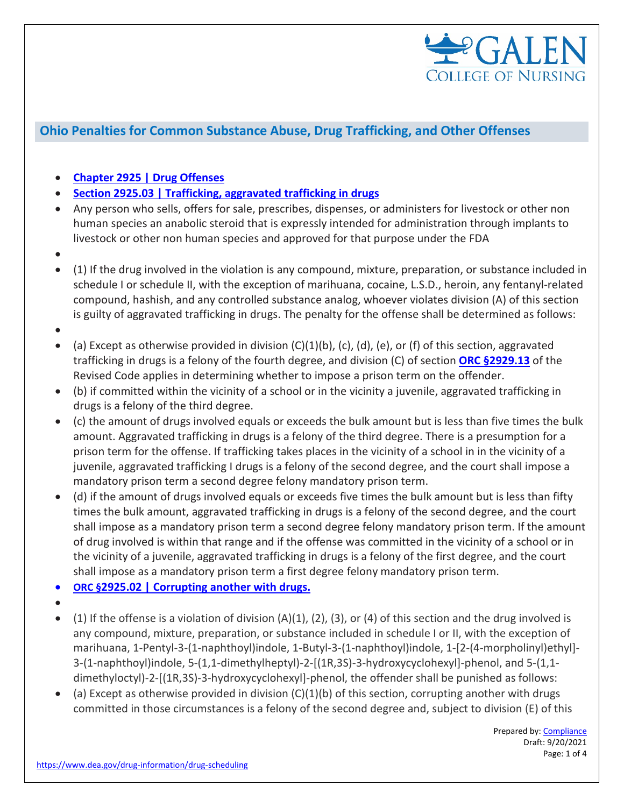

## **Ohio Penalties for Common Substance Abuse, Drug Trafficking, and Other Offenses**

- **[Chapter 2925 | Drug Offenses](https://codes.ohio.gov/ohio-revised-code/chapter-2925)**
- **[Section 2925.03 | Trafficking, aggravated trafficking in drugs](https://codes.ohio.gov/ohio-revised-code/section-2925.03)**
- Any person who sells, offers for sale, prescribes, dispenses, or administers for livestock or other non human species an anabolic steroid that is expressly intended for administration through implants to livestock or other non human species and approved for that purpose under the FDA
- •
- (1) If the drug involved in the violation is any compound, mixture, preparation, or substance included in schedule I or schedule II, with the exception of marihuana, cocaine, L.S.D., heroin, any fentanyl-related compound, hashish, and any controlled substance analog, whoever violates division (A) of this section is guilty of aggravated trafficking in drugs. The penalty for the offense shall be determined as follows:
- •
- (a) Except as otherwise provided in division  $(C)(1)(b)$ ,  $(c)$ ,  $(d)$ ,  $(e)$ , or  $(f)$  of this section, aggravated trafficking in drugs is a felony of the fourth degree, and division (C) of section **[ORC §2929.13](https://codes.ohio.gov/ohio-revised-code/section-2929.13)** of the Revised Code applies in determining whether to impose a prison term on the offender.
- (b) if committed within the vicinity of a school or in the vicinity a juvenile, aggravated trafficking in drugs is a felony of the third degree.
- (c) the amount of drugs involved equals or exceeds the bulk amount but is less than five times the bulk amount. Aggravated trafficking in drugs is a felony of the third degree. There is a presumption for a prison term for the offense. If trafficking takes places in the vicinity of a school in in the vicinity of a juvenile, aggravated trafficking I drugs is a felony of the second degree, and the court shall impose a mandatory prison term a second degree felony mandatory prison term.
- (d) if the amount of drugs involved equals or exceeds five times the bulk amount but is less than fifty times the bulk amount, aggravated trafficking in drugs is a felony of the second degree, and the court shall impose as a mandatory prison term a second degree felony mandatory prison term. If the amount of drug involved is within that range and if the offense was committed in the vicinity of a school or in the vicinity of a juvenile, aggravated trafficking in drugs is a felony of the first degree, and the court shall impose as a mandatory prison term a first degree felony mandatory prison term.
- **ORC §2925.02 | [Corrupting another with drugs.](https://codes.ohio.gov/ohio-revised-code/section-2925.02)**
- •
- (1) If the offense is a violation of division  $(A)(1)$ ,  $(2)$ ,  $(3)$ , or  $(4)$  of this section and the drug involved is any compound, mixture, preparation, or substance included in schedule I or II, with the exception of marihuana, 1-Pentyl-3-(1-naphthoyl)indole, 1-Butyl-3-(1-naphthoyl)indole, 1-[2-(4-morpholinyl)ethyl]- 3-(1-naphthoyl)indole, 5-(1,1-dimethylheptyl)-2-[(1R,3S)-3-hydroxycyclohexyl]-phenol, and 5-(1,1 dimethyloctyl)-2-[(1R,3S)-3-hydroxycyclohexyl]-phenol, the offender shall be punished as follows:
- (a) Except as otherwise provided in division  $(C)(1)(b)$  of this section, corrupting another with drugs committed in those circumstances is a felony of the second degree and, subject to division (E) of this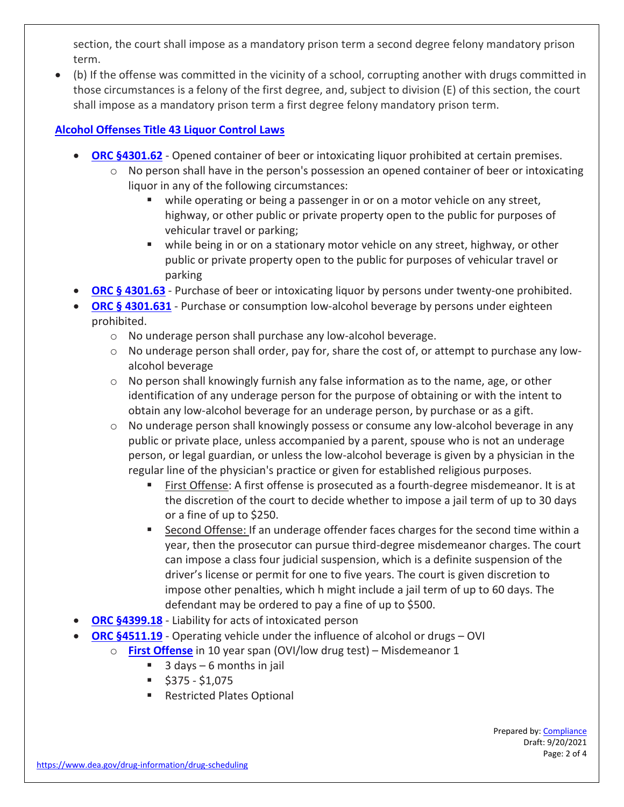section, the court shall impose as a mandatory prison term a second degree felony mandatory prison term.

• (b) If the offense was committed in the vicinity of a school, corrupting another with drugs committed in those circumstances is a felony of the first degree, and, subject to division (E) of this section, the court shall impose as a mandatory prison term a first degree felony mandatory prison term.

## **[Alcohol Offenses Title 43 Liquor Control Laws](https://codes.ohio.gov/ohio-revised-code/title-43)**

- **[ORC §4301.62](https://codes.ohio.gov/ohio-revised-code/section-4301.62)** Opened container of beer or intoxicating liquor prohibited at certain premises.
	- $\circ$  No person shall have in the person's possession an opened container of beer or intoxicating liquor in any of the following circumstances:
		- while operating or being a passenger in or on a motor vehicle on any street, highway, or other public or private property open to the public for purposes of vehicular travel or parking;
		- while being in or on a stationary motor vehicle on any street, highway, or other public or private property open to the public for purposes of vehicular travel or parking
- **[ORC § 4301.63](https://codes.ohio.gov/ohio-revised-code/section-4301.63)** Purchase of beer or intoxicating liquor by persons under twenty-one prohibited.
- **[ORC §](https://codes.ohio.gov/ohio-revised-code/section-4301.631) [4301.631](https://codes.ohio.gov/ohio-revised-code/section-4301.631)** Purchase or consumption low-alcohol beverage by persons under eighteen prohibited.
	- o No underage person shall purchase any low-alcohol beverage.
	- $\circ$  No underage person shall order, pay for, share the cost of, or attempt to purchase any lowalcohol beverage
	- o No person shall knowingly furnish any false information as to the name, age, or other identification of any underage person for the purpose of obtaining or with the intent to obtain any low-alcohol beverage for an underage person, by purchase or as a gift.
	- o No underage person shall knowingly possess or consume any low-alcohol beverage in any public or private place, unless accompanied by a parent, spouse who is not an underage person, or legal guardian, or unless the low-alcohol beverage is given by a physician in the regular line of the physician's practice or given for established religious purposes.
		- First Offense: A first offense is prosecuted as a fourth-degree misdemeanor. It is at the discretion of the court to decide whether to impose a jail term of up to 30 days or a fine of up to \$250.
		- Second Offense: If an underage offender faces charges for the second time within a year, then the prosecutor can pursue third-degree misdemeanor charges. The court can impose a class four judicial suspension, which is a definite suspension of the driver's license or permit for one to five years. The court is given discretion to impose other penalties, which h might include a jail term of up to 60 days. The defendant may be ordered to pay a fine of up to \$500.
- **[ORC](https://codes.ohio.gov/ohio-revised-code/section-4399.18) [§4399.18](https://codes.ohio.gov/ohio-revised-code/section-4399.18)** Liability for acts of intoxicated person
- **[ORC §4511.19](https://codes.ohio.gov/ohio-revised-code/section-4511.19)** Operating vehicle under the influence of alcohol or drugs OVI
	- o **[First Offense](https://www.ghmc.org/sites/default/files/pdfs/ovichart.pdf)** in 10 year span (OVI/low drug test) Misdemeanor 1
		- $\blacksquare$  3 days 6 months in jail
		- $\blacksquare$  \$375 \$1,075
		- Restricted Plates Optional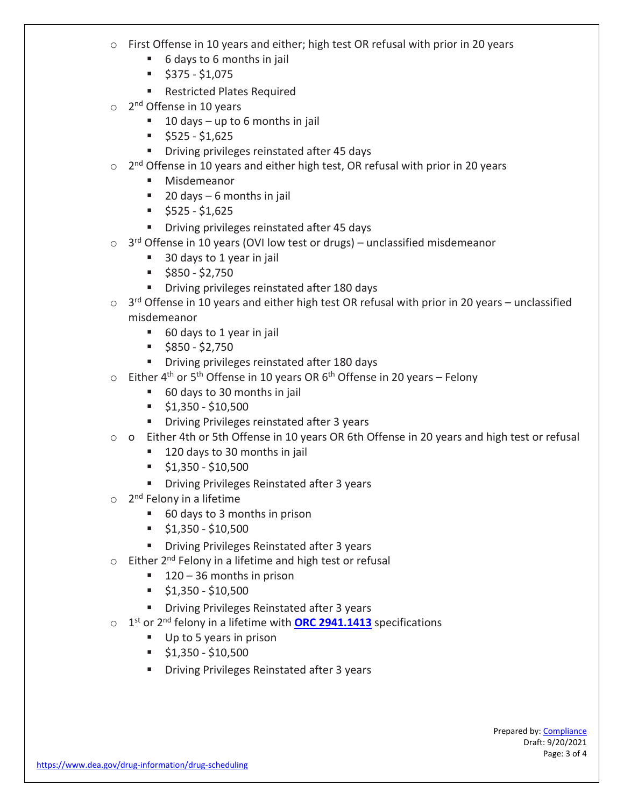- o First Offense in 10 years and either; high test OR refusal with prior in 20 years
	- 6 days to 6 months in jail
	- $\bullet$  \$375 \$1,075
	- **Restricted Plates Required**
- $\circ$  2<sup>nd</sup> Offense in 10 years
	- $10 \text{ days} \text{up to } 6 \text{ months in }$
	- $\frac{1}{5}$  \$525 \$1,625
	- **Driving privileges reinstated after 45 days**
- $\circ$  2<sup>nd</sup> Offense in 10 years and either high test, OR refusal with prior in 20 years
	- **Misdemeanor**
	- $\blacksquare$  20 days 6 months in jail
	- $\blacksquare$  \$525 \$1,625
	- **Driving privileges reinstated after 45 days**
- $\circ$  3<sup>rd</sup> Offense in 10 years (OVI low test or drugs) unclassified misdemeanor
	- 30 days to 1 year in jail
	- $\blacksquare$  \$850 \$2,750
	- **Driving privileges reinstated after 180 days**
- $\circ$  3<sup>rd</sup> Offense in 10 years and either high test OR refusal with prior in 20 years unclassified misdemeanor
	- 60 days to 1 year in jail
	- $\bullet$  \$850 \$2,750
	- **Driving privileges reinstated after 180 days**
- $\circ$  Either 4<sup>th</sup> or 5<sup>th</sup> Offense in 10 years OR 6<sup>th</sup> Offense in 20 years Felony
	- 60 days to 30 months in jail
	- $\frac{1}{2}$  \$1,350 \$10,500
	- **Driving Privileges reinstated after 3 years**
- o o Either 4th or 5th Offense in 10 years OR 6th Offense in 20 years and high test or refusal
	- 120 days to 30 months in jail
	- $\frac{1}{2}$  \$1,350 \$10,500
	- **Driving Privileges Reinstated after 3 years**
- $\circ$  2<sup>nd</sup> Felony in a lifetime
	- 60 days to 3 months in prison
	- $\frac{1}{2}$  \$1,350 \$10,500
	- **Driving Privileges Reinstated after 3 years**
- $\circ$  Either 2<sup>nd</sup> Felony in a lifetime and high test or refusal
	- $\blacksquare$  120 36 months in prison
	- $\frac{1}{2}$  \$1,350 \$10,500
	- **Driving Privileges Reinstated after 3 years**
- o 1st or 2nd felony in a lifetime with **[ORC 2941.1413](https://codes.ohio.gov/ohio-revised-code/section-2941.1413)** specifications
	- Up to 5 years in prison
	- $\frac{1}{2}$  \$1,350 \$10,500
	- **Driving Privileges Reinstated after 3 years**